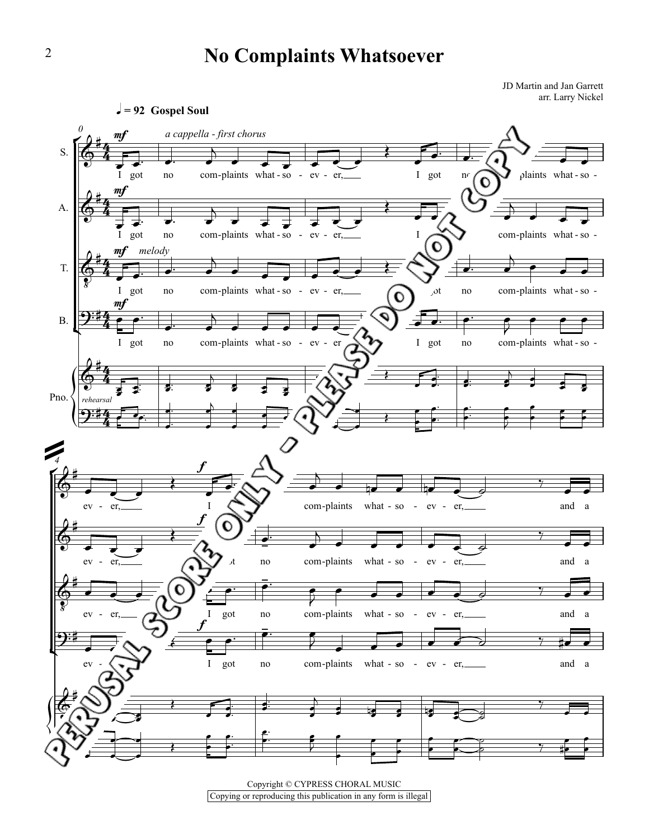## **No Complaints Whatsoever**

JD Martin and Jan Garrett a and san Garren<br>arr. Larry Nickel



Copyright © CYPRESS CHORAL MUSIC Copying or reproducing this publication in any form is illegal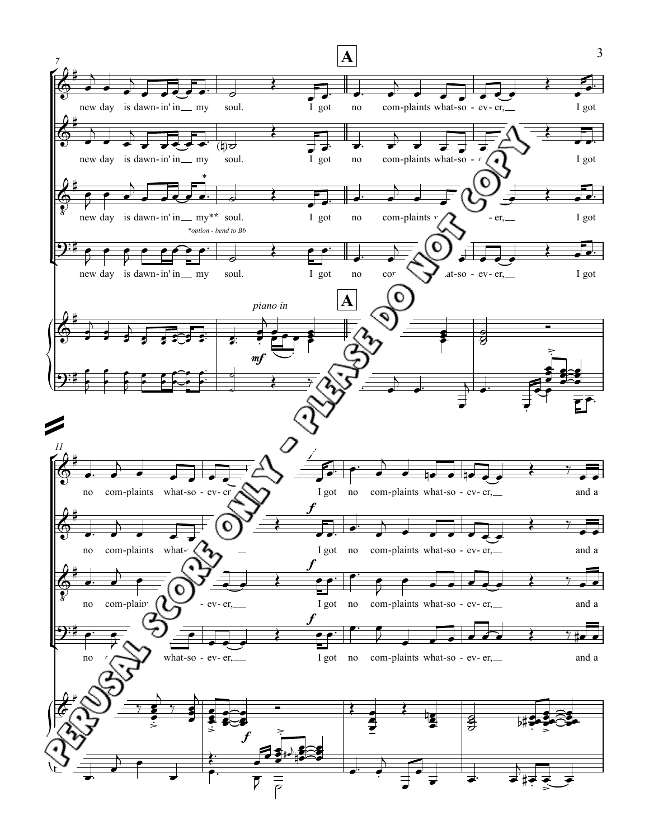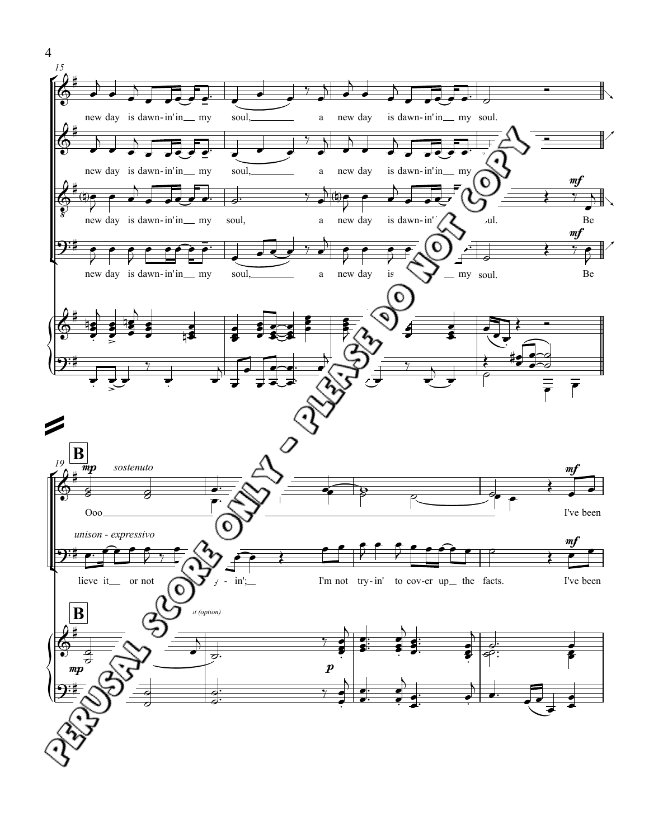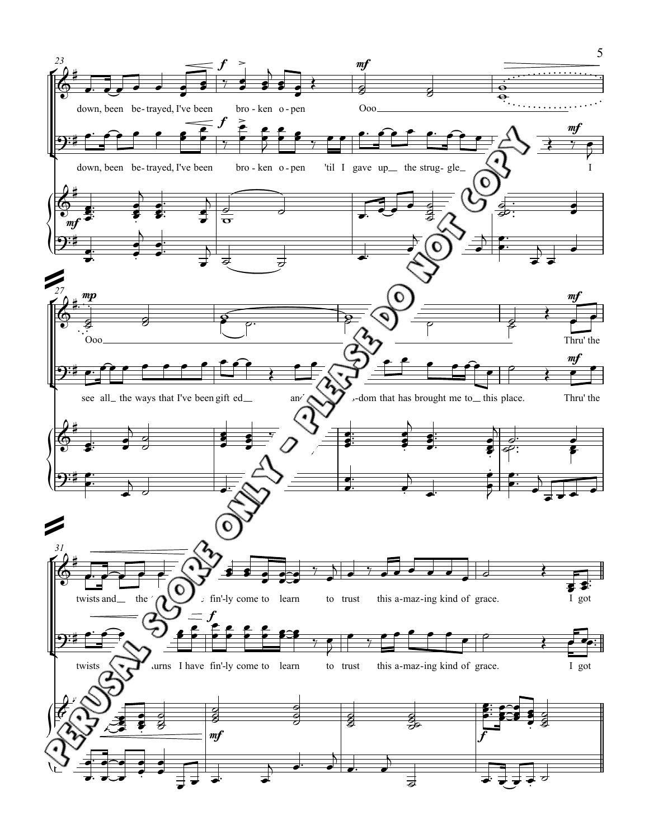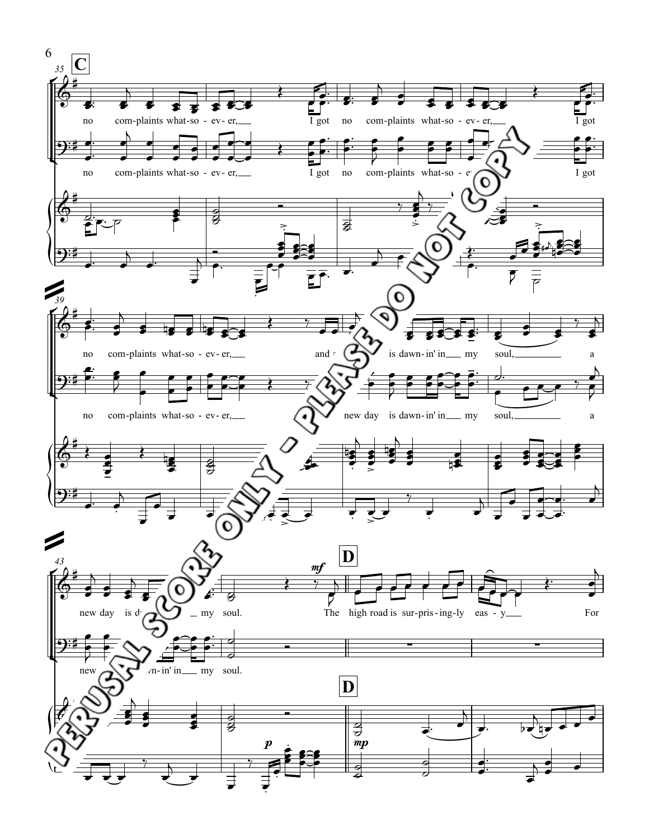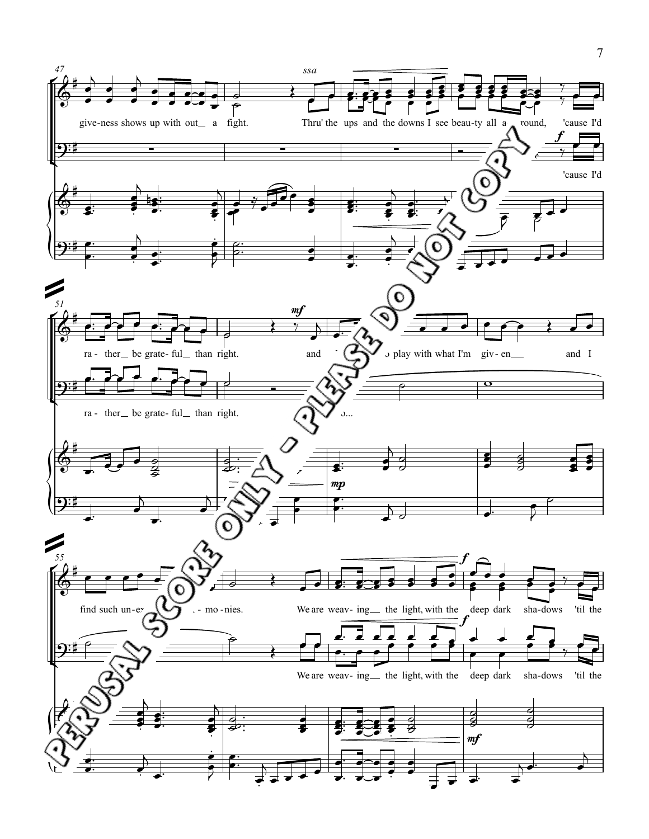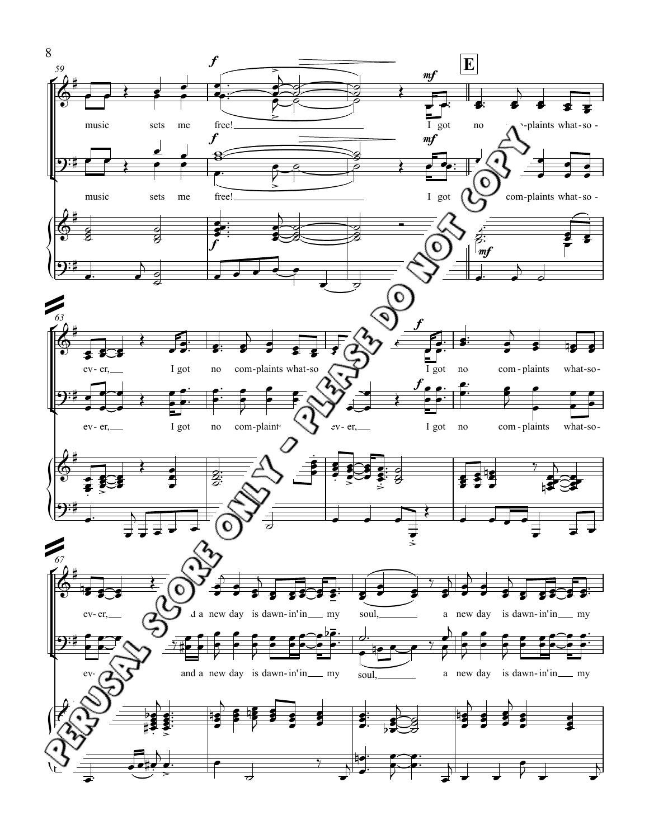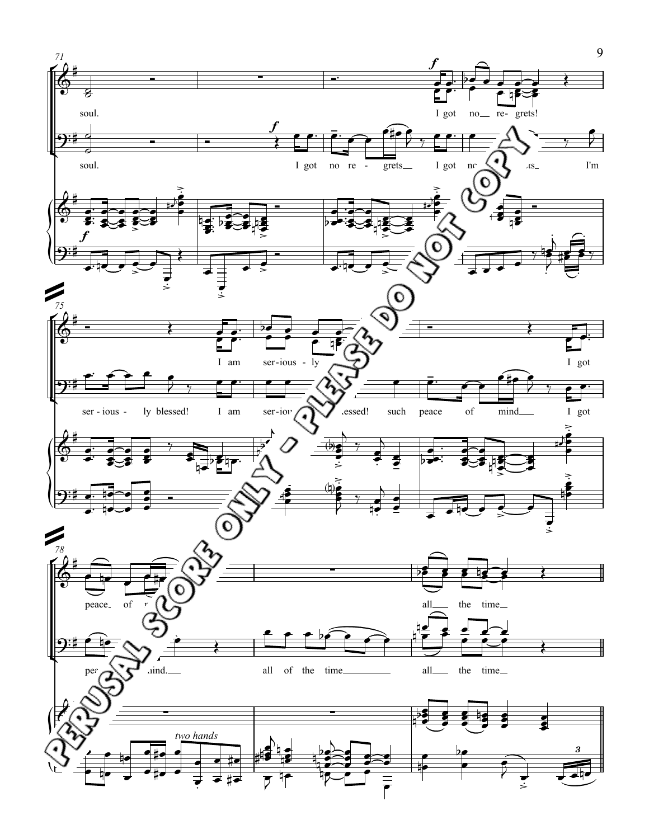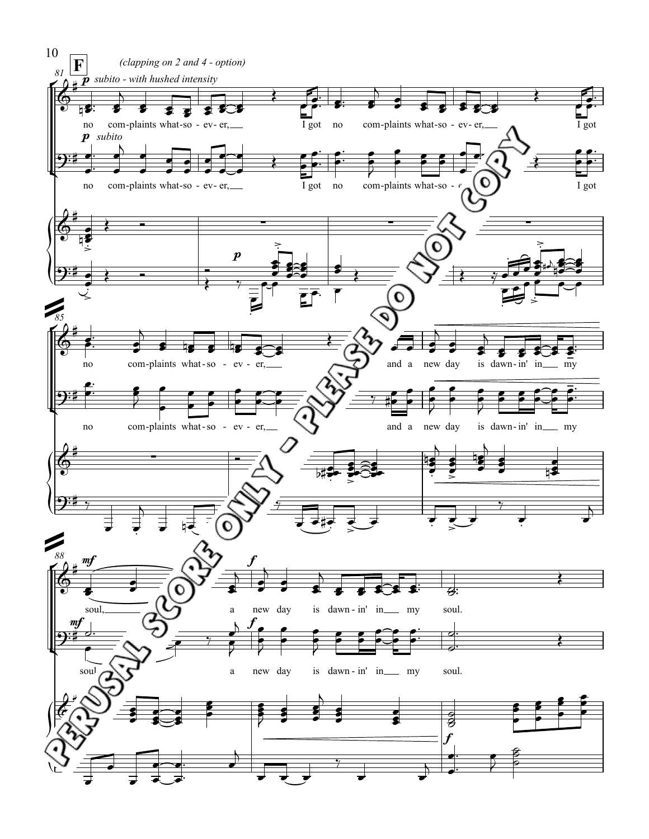